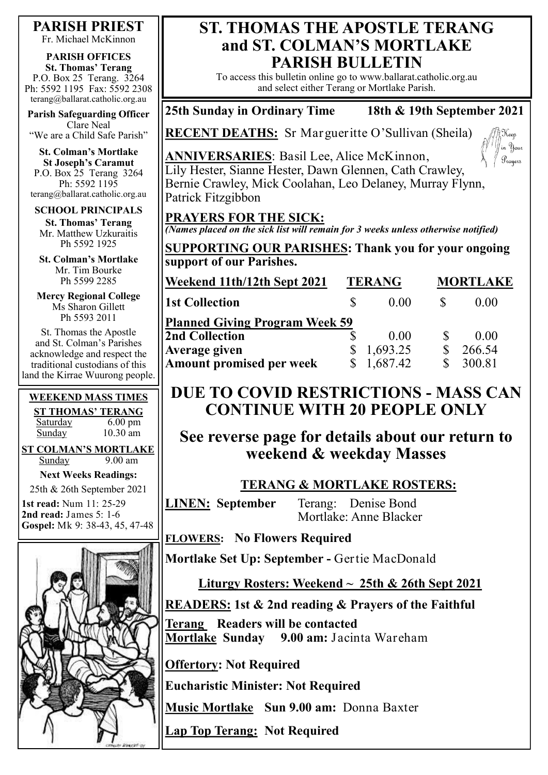#### **PARISH PRIEST**

Fr. Michael McKinnon

#### **PARISH OFFICES St. Thomas' Terang** P.O. Box 25 Terang. 3264 Ph: 5592 1195 Fax: 5592 2308

terang@ballarat.catholic.org.au **Parish Safeguarding Officer**

Clare Neal "We are a Child Safe Parish"

**St. Colman's Mortlake St Joseph's Caramut** P.O. Box 25 Terang 3264 Ph: 5592 1195 terang@ballarat.catholic.org.au

#### **SCHOOL PRINCIPALS**

**St. Thomas' Terang** Mr. Matthew Uzkuraitis Ph 5592 1925

**St. Colman's Mortlake** Mr. Tim Bourke Ph 5599 2285

**Mercy Regional College** Ms Sharon Gillett Ph 5593 2011

St. Thomas the Apostle and St. Colman's Parishes acknowledge and respect the traditional custodians of this land the Kirrae Wuurong people.

| <b>WEEKEND MASS TIMES</b> |                   |  |  |  |
|---------------------------|-------------------|--|--|--|
| <b>ST THOMAS' TERANG</b>  |                   |  |  |  |
| Saturday                  | $6.00 \text{ pm}$ |  |  |  |
| Sunday                    | $10.30$ am        |  |  |  |
|                           |                   |  |  |  |

**ST COLMAN'S MORTLAKE** Sunday 9.00 am

**Next Weeks Readings:**

25th & 26th September 2021

**1st read:** Num 11: 25-29 **2nd read:** James 5: 1-6 **Gospel:** Mk 9: 38-43, 45, 47-48



### **ST. THOMAS THE APOSTLE TERANG and ST. COLMAN'S MORTLAKE PARISH BULLETIN**

To access this bulletin online go to www.ballarat.catholic.org.au and select either Terang or Mortlake Parish.

#### **25th Sunday in Ordinary Time 18th & 19th September 2021**

Keep in Your Prayers

**RECENT DEATHS:** Sr Margueritte O'Sullivan (Sheila)



### **PRAYERS FOR THE SICK:**

*(Names placed on the sick list will remain for 3 weeks unless otherwise notified)*

**SUPPORTING OUR PARISHES: Thank you for your ongoing support of our Parishes.** 

| Weekend 11th/12th Sept 2021           |  | <b>TERANG</b> |  | <b>MORTLAKE</b> |  |
|---------------------------------------|--|---------------|--|-----------------|--|
| <b>1st Collection</b>                 |  | 0.00          |  | (0.00)          |  |
| <b>Planned Giving Program Week 59</b> |  |               |  |                 |  |
| <b>2nd Collection</b>                 |  | 0.00          |  | (0.00)          |  |
| <b>Average given</b>                  |  | 1,693.25      |  | 266.54          |  |
| Amount promised per week              |  | 1,687.42      |  | 300.81          |  |

# **DUE TO COVID RESTRICTIONS - MASS CAN CONTINUE WITH 20 PEOPLE ONLY**

**See reverse page for details about our return to weekend & weekday Masses** 

### **TERANG & MORTLAKE ROSTERS:**

**LINEN: September** Terang: Denise Bond Mortlake: Anne Blacker

**FLOWERS: No Flowers Required**

**Mortlake Set Up: September -** Gertie MacDonald

# **Liturgy Rosters: Weekend ~ 25th & 26th Sept 2021**

# **READERS: 1st & 2nd reading & Prayers of the Faithful**

**Terang Readers will be contacted Mortlake Sunday 9.00 am:** Jacinta Wareham

**Offertory: Not Required**

**Eucharistic Minister: Not Required**

**Music Mortlake Sun 9.00 am:** Donna Baxter

**Lap Top Terang: Not Required**